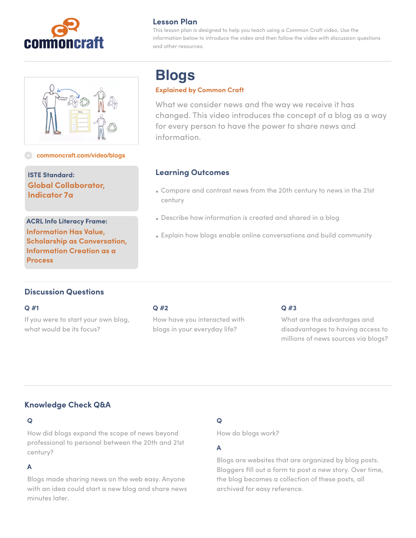



**[commoncraft.com/video/blogs](http://commoncraft.com/video/blogs)**

**ISTE Standard: Global Collaborator, Indicator 7a**

**ACRL Info Literacy Frame: Information Has Value, Scholarship as Conversation, Information Creation as a Process**

# **Lesson Plan**

This lesson plan is designed to help you teach using a Common Craft video. Use the information below to introduce the video and then follow the video with discussion questions and other resources.

# **Blogs**

#### **Explained by Common Craft**

What we consider news and the way we receive it has changed. This video introduces the concept of a blog as a way for every person to have the power to share news and information.

## **Learning Outcomes**

- Compare and contrast news from the 20th century to news in the 21st century
- Describe how information is created and shared in a blog
- Explain how blogs enable online conversations and build community

# **Discussion Questions**

#### **Q #1**

If you were to start your own blog, what would be its focus?

#### **Q #2**

How have you interacted with blogs in your everyday life?

## **Q #3**

What are the advantages and disadvantages to having access to millions of news sources via blogs?

# **Knowledge Check Q&A**

## **Q**

How did blogs expand the scope of news beyond professional to personal between the 20th and 21st century?

## **A**

Blogs made sharing news on the web easy. Anyone with an idea could start a new blog and share news minutes later.

# **Q**

How do blogs work?

## **A**

Blogs are websites that are organized by blog posts. Bloggers fill out a form to post a new story. Over time, the blog becomes a collection of these posts, all archived for easy reference.